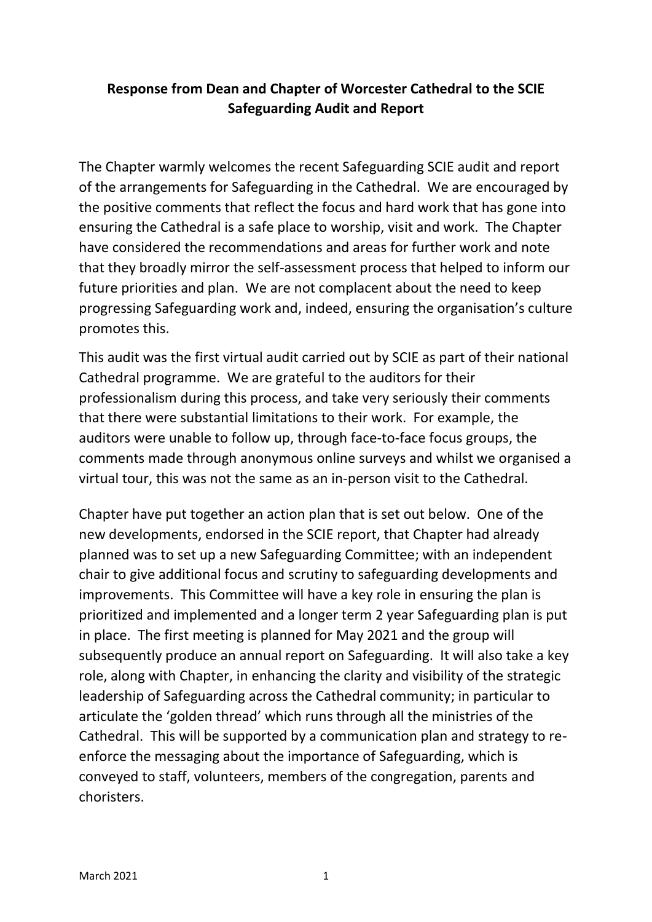# **Response from Dean and Chapter of Worcester Cathedral to the SCIE Safeguarding Audit and Report**

The Chapter warmly welcomes the recent Safeguarding SCIE audit and report of the arrangements for Safeguarding in the Cathedral. We are encouraged by the positive comments that reflect the focus and hard work that has gone into ensuring the Cathedral is a safe place to worship, visit and work. The Chapter have considered the recommendations and areas for further work and note that they broadly mirror the self-assessment process that helped to inform our future priorities and plan. We are not complacent about the need to keep progressing Safeguarding work and, indeed, ensuring the organisation's culture promotes this.

This audit was the first virtual audit carried out by SCIE as part of their national Cathedral programme. We are grateful to the auditors for their professionalism during this process, and take very seriously their comments that there were substantial limitations to their work. For example, the auditors were unable to follow up, through face-to-face focus groups, the comments made through anonymous online surveys and whilst we organised a virtual tour, this was not the same as an in-person visit to the Cathedral.

Chapter have put together an action plan that is set out below. One of the new developments, endorsed in the SCIE report, that Chapter had already planned was to set up a new Safeguarding Committee; with an independent chair to give additional focus and scrutiny to safeguarding developments and improvements. This Committee will have a key role in ensuring the plan is prioritized and implemented and a longer term 2 year Safeguarding plan is put in place. The first meeting is planned for May 2021 and the group will subsequently produce an annual report on Safeguarding. It will also take a key role, along with Chapter, in enhancing the clarity and visibility of the strategic leadership of Safeguarding across the Cathedral community; in particular to articulate the 'golden thread' which runs through all the ministries of the Cathedral. This will be supported by a communication plan and strategy to reenforce the messaging about the importance of Safeguarding, which is conveyed to staff, volunteers, members of the congregation, parents and choristers.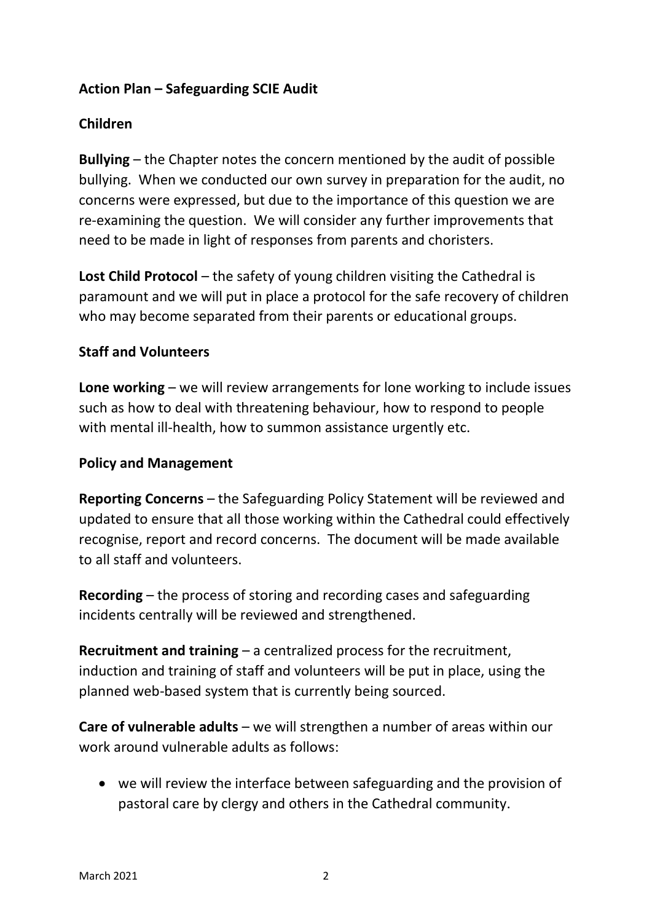## **Action Plan – Safeguarding SCIE Audit**

## **Children**

**Bullying** – the Chapter notes the concern mentioned by the audit of possible bullying. When we conducted our own survey in preparation for the audit, no concerns were expressed, but due to the importance of this question we are re-examining the question. We will consider any further improvements that need to be made in light of responses from parents and choristers.

**Lost Child Protocol** – the safety of young children visiting the Cathedral is paramount and we will put in place a protocol for the safe recovery of children who may become separated from their parents or educational groups.

#### **Staff and Volunteers**

**Lone working** – we will review arrangements for lone working to include issues such as how to deal with threatening behaviour, how to respond to people with mental ill-health, how to summon assistance urgently etc.

#### **Policy and Management**

**Reporting Concerns** – the Safeguarding Policy Statement will be reviewed and updated to ensure that all those working within the Cathedral could effectively recognise, report and record concerns. The document will be made available to all staff and volunteers.

**Recording** – the process of storing and recording cases and safeguarding incidents centrally will be reviewed and strengthened.

**Recruitment and training** – a centralized process for the recruitment, induction and training of staff and volunteers will be put in place, using the planned web-based system that is currently being sourced.

**Care of vulnerable adults** – we will strengthen a number of areas within our work around vulnerable adults as follows:

• we will review the interface between safeguarding and the provision of pastoral care by clergy and others in the Cathedral community.